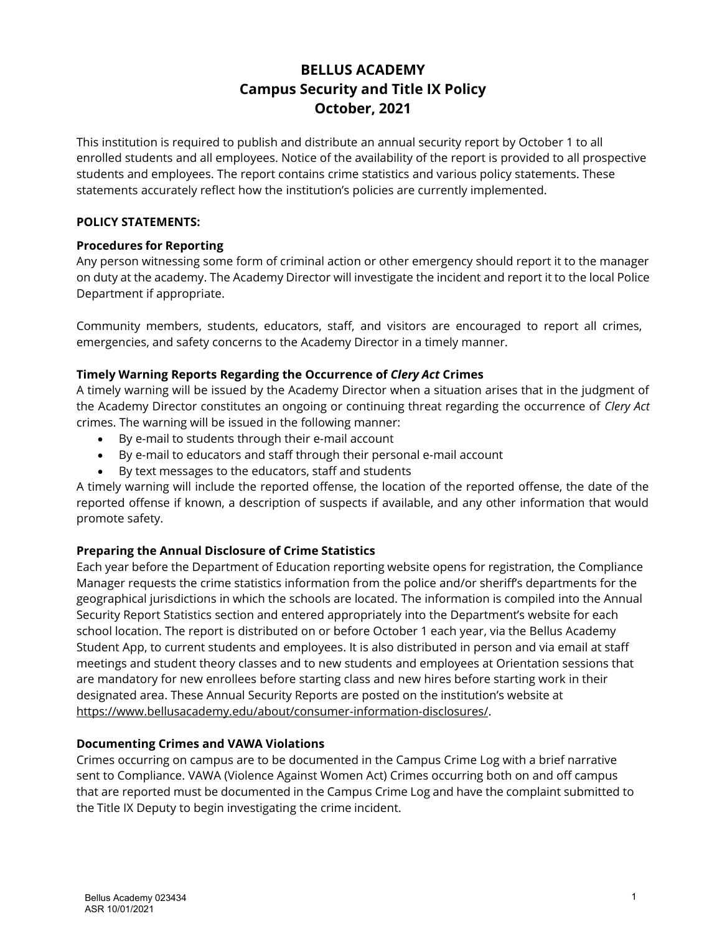# **BELLUS ACADEMY Campus Security and Title IX Policy October, 2021**

This institution is required to publish and distribute an annual security report by October 1 to all enrolled students and all employees. Notice of the availability of the report is provided to all prospective students and employees. The report contains crime statistics and various policy statements. These statements accurately reflect how the institution's policies are currently implemented.

### **POLICY STATEMENTS:**

### **Procedures for Reporting**

Any person witnessing some form of criminal action or other emergency should report it to the manager on duty at the academy. The Academy Director will investigate the incident and report it to the local Police Department if appropriate.

Community members, students, educators, staff, and visitors are encouraged to report all crimes, emergencies, and safety concerns to the Academy Director in a timely manner.

### **Timely Warning Reports Regarding the Occurrence of** *Clery Act* **Crimes**

A timely warning will be issued by the Academy Director when a situation arises that in the judgment of the Academy Director constitutes an ongoing or continuing threat regarding the occurrence of *Clery Act* crimes. The warning will be issued in the following manner:

- By e-mail to students through their e-mail account
- By e-mail to educators and staff through their personal e-mail account
- By text messages to the educators, staff and students

A timely warning will include the reported offense, the location of the reported offense, the date of the reported offense if known, a description of suspects if available, and any other information that would promote safety.

# **Preparing the Annual Disclosure of Crime Statistics**

Each year before the Department of Education reporting website opens for registration, the Compliance Manager requests the crime statistics information from the police and/or sheriff's departments for the geographical jurisdictions in which the schools are located. The information is compiled into the Annual Security Report Statistics section and entered appropriately into the Department's website for each school location. The report is distributed on or before October 1 each year, via the Bellus Academy Student App, to current students and employees. It is also distributed in person and via email at staff meetings and student theory classes and to new students and employees at Orientation sessions that are mandatory for new enrollees before starting class and new hires before starting work in their designated area. These Annual Security Reports are posted on the institution's website at [https://www.bellusacademy.edu/about/consumer-information-disclosures/.](https://www.bellusacademy.edu/about/consumer-information-disclosures/)

### **Documenting Crimes and VAWA Violations**

Crimes occurring on campus are to be documented in the Campus Crime Log with a brief narrative sent to Compliance. VAWA (Violence Against Women Act) Crimes occurring both on and off campus that are reported must be documented in the Campus Crime Log and have the complaint submitted to the Title IX Deputy to begin investigating the crime incident.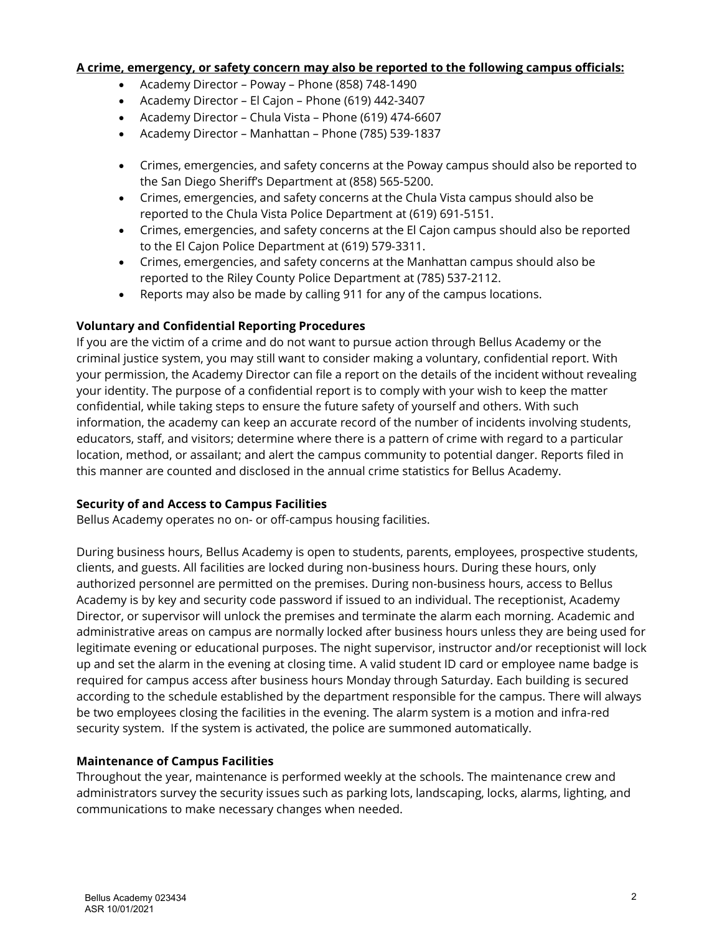### **A crime, emergency, or safety concern may also be reported to the following campus officials:**

- Academy Director Poway Phone (858) 748-1490
- Academy Director El Cajon Phone (619) 442-3407
- Academy Director Chula Vista Phone (619) 474-6607
- Academy Director Manhattan Phone (785) 539-1837
- Crimes, emergencies, and safety concerns at the Poway campus should also be reported to the San Diego Sheriff's Department at (858) 565-5200.
- Crimes, emergencies, and safety concerns at the Chula Vista campus should also be reported to the Chula Vista Police Department at (619) 691-5151.
- Crimes, emergencies, and safety concerns at the El Cajon campus should also be reported to the El Cajon Police Department at (619) 579-3311.
- Crimes, emergencies, and safety concerns at the Manhattan campus should also be reported to the Riley County Police Department at (785) 537-2112.
- Reports may also be made by calling 911 for any of the campus locations.

### **Voluntary and Confidential Reporting Procedures**

If you are the victim of a crime and do not want to pursue action through Bellus Academy or the criminal justice system, you may still want to consider making a voluntary, confidential report. With your permission, the Academy Director can file a report on the details of the incident without revealing your identity. The purpose of a confidential report is to comply with your wish to keep the matter confidential, while taking steps to ensure the future safety of yourself and others. With such information, the academy can keep an accurate record of the number of incidents involving students, educators, staff, and visitors; determine where there is a pattern of crime with regard to a particular location, method, or assailant; and alert the campus community to potential danger. Reports filed in this manner are counted and disclosed in the annual crime statistics for Bellus Academy.

### **Security of and Access to Campus Facilities**

Bellus Academy operates no on- or off-campus housing facilities.

During business hours, Bellus Academy is open to students, parents, employees, prospective students, clients, and guests. All facilities are locked during non-business hours. During these hours, only authorized personnel are permitted on the premises. During non-business hours, access to Bellus Academy is by key and security code password if issued to an individual. The receptionist, Academy Director, or supervisor will unlock the premises and terminate the alarm each morning. Academic and administrative areas on campus are normally locked after business hours unless they are being used for legitimate evening or educational purposes. The night supervisor, instructor and/or receptionist will lock up and set the alarm in the evening at closing time. A valid student ID card or employee name badge is required for campus access after business hours Monday through Saturday. Each building is secured according to the schedule established by the department responsible for the campus. There will always be two employees closing the facilities in the evening. The alarm system is a motion and infra-red security system. If the system is activated, the police are summoned automatically.

### **Maintenance of Campus Facilities**

Throughout the year, maintenance is performed weekly at the schools. The maintenance crew and administrators survey the security issues such as parking lots, landscaping, locks, alarms, lighting, and communications to make necessary changes when needed.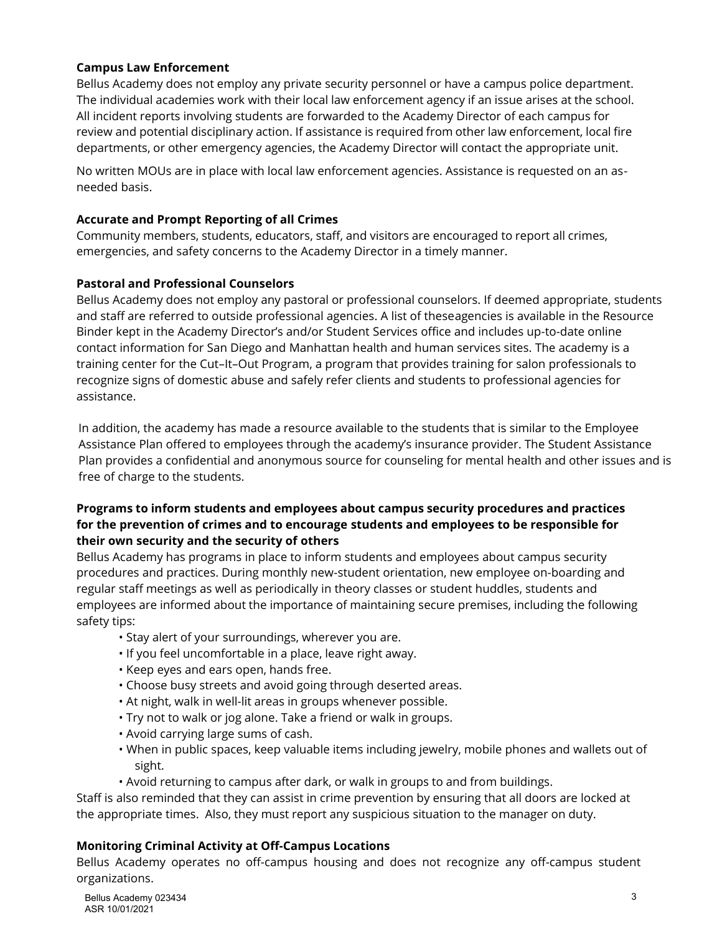# **Campus Law Enforcement**

Bellus Academy does not employ any private security personnel or have a campus police department. The individual academies work with their local law enforcement agency if an issue arises at the school. All incident reports involving students are forwarded to the Academy Director of each campus for review and potential disciplinary action. If assistance is required from other law enforcement, local fire departments, or other emergency agencies, the Academy Director will contact the appropriate unit.

No written MOUs are in place with local law enforcement agencies. Assistance is requested on an asneeded basis.

### **Accurate and Prompt Reporting of all Crimes**

Community members, students, educators, staff, and visitors are encouraged to report all crimes, emergencies, and safety concerns to the Academy Director in a timely manner.

### **Pastoral and Professional Counselors**

Bellus Academy does not employ any pastoral or professional counselors. If deemed appropriate, students and staff are referred to outside professional agencies. A list of theseagencies is available in the Resource Binder kept in the Academy Director's and/or Student Services office and includes up-to-date online contact information for San Diego and Manhattan health and human services sites. The academy is a training center for the Cut–It–Out Program, a program that provides training for salon professionals to recognize signs of domestic abuse and safely refer clients and students to professional agencies for assistance.

In addition, the academy has made a resource available to the students that is similar to the Employee Assistance Plan offered to employees through the academy's insurance provider. The Student Assistance Plan provides a confidential and anonymous source for counseling for mental health and other issues and is free of charge to the students.

# **Programs to inform students and employees about campus security procedures and practices for the prevention of crimes and to encourage students and employees to be responsible for their own security and the security of others**

Bellus Academy has programs in place to inform students and employees about campus security procedures and practices. During monthly new-student orientation, new employee on-boarding and regular staff meetings as well as periodically in theory classes or student huddles, students and employees are informed about the importance of maintaining secure premises, including the following safety tips:

- Stay alert of your surroundings, wherever you are.
- If you feel uncomfortable in a place, leave right away.
- Keep eyes and ears open, hands free.
- Choose busy streets and avoid going through deserted areas.
- At night, walk in well-lit areas in groups whenever possible.
- Try not to walk or jog alone. Take a friend or walk in groups.
- Avoid carrying large sums of cash.
- When in public spaces, keep valuable items including jewelry, mobile phones and wallets out of sight.
- Avoid returning to campus after dark, or walk in groups to and from buildings.

Staff is also reminded that they can assist in crime prevention by ensuring that all doors are locked at the appropriate times. Also, they must report any suspicious situation to the manager on duty.

# **Monitoring Criminal Activity at Off-Campus Locations**

Bellus Academy operates no off-campus housing and does not recognize any off-campus student organizations.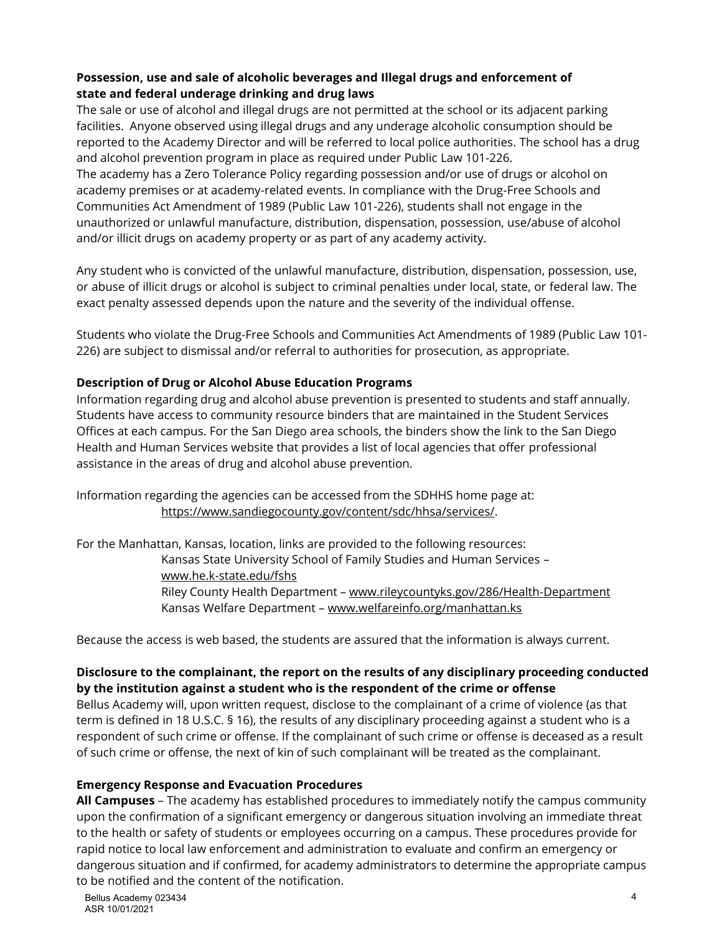# **Possession, use and sale of alcoholic beverages and Illegal drugs and enforcement of state and federal underage drinking and drug laws**

The sale or use of alcohol and illegal drugs are not permitted at the school or its adjacent parking facilities. Anyone observed using illegal drugs and any underage alcoholic consumption should be reported to the Academy Director and will be referred to local police authorities. The school has a drug and alcohol prevention program in place as required under Public Law 101-226. The academy has a Zero Tolerance Policy regarding possession and/or use of drugs or alcohol on academy premises or at academy-related events. In compliance with the Drug-Free Schools and

Communities Act Amendment of 1989 (Public Law 101-226), students shall not engage in the unauthorized or unlawful manufacture, distribution, dispensation, possession, use/abuse of alcohol and/or illicit drugs on academy property or as part of any academy activity.

Any student who is convicted of the unlawful manufacture, distribution, dispensation, possession, use, or abuse of illicit drugs or alcohol is subject to criminal penalties under local, state, or federal law. The exact penalty assessed depends upon the nature and the severity of the individual offense.

Students who violate the Drug-Free Schools and Communities Act Amendments of 1989 (Public Law 101- 226) are subject to dismissal and/or referral to authorities for prosecution, as appropriate.

# **Description of Drug or Alcohol Abuse Education Programs**

Information regarding drug and alcohol abuse prevention is presented to students and staff annually. Students have access to community resource binders that are maintained in the Student Services Offices at each campus. For the San Diego area schools, the binders show the link to the San Diego Health and Human Services website that provides a list of local agencies that offer professional assistance in the areas of drug and alcohol abuse prevention.

Information regarding the agencies can be accessed from the SDHHS home page at: [https://www.sandiegocounty.gov/content/sdc/hhsa/services/.](https://www.sandiegocounty.gov/content/sdc/hhsa/services/)

For the Manhattan, Kansas, location, links are provided to the following resources: Kansas State University School of Family Studies and Human Services – [www.he.k-state.edu/fshs](http://www.he.k-state.edu/fshs) Riley County Health Department – [www.rileycountyks.gov/286/Health-Department](http://www.rileycountyks.gov/286/Health-Department) Kansas Welfare Department – [www.welfareinfo.org/manhattan.ks](http://www.welfareinfo.org/manhattan.ks)

Because the access is web based, the students are assured that the information is always current.

# **Disclosure to the complainant, the report on the results of any disciplinary proceeding conducted by the institution against a student who is the respondent of the crime or offense**

Bellus Academy will, upon written request, disclose to the complainant of a crime of violence (as that term is defined in 18 U.S.C. § 16), the results of any disciplinary proceeding against a student who is a respondent of such crime or offense. If the complainant of such crime or offense is deceased as a result of such crime or offense, the next of kin of such complainant will be treated as the complainant.

# **Emergency Response and Evacuation Procedures**

**All Campuses** – The academy has established procedures to immediately notify the campus community upon the confirmation of a significant emergency or dangerous situation involving an immediate threat to the health or safety of students or employees occurring on a campus. These procedures provide for rapid notice to local law enforcement and administration to evaluate and confirm an emergency or dangerous situation and if confirmed, for academy administrators to determine the appropriate campus to be notified and the content of the notification.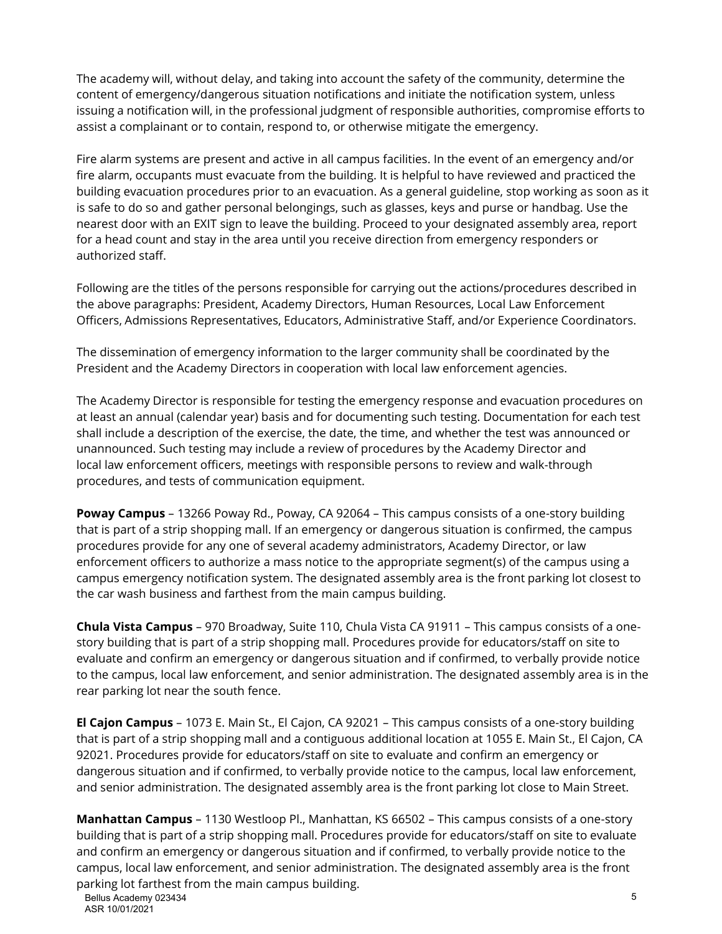The academy will, without delay, and taking into account the safety of the community, determine the content of emergency/dangerous situation notifications and initiate the notification system, unless issuing a notification will, in the professional judgment of responsible authorities, compromise efforts to assist a complainant or to contain, respond to, or otherwise mitigate the emergency.

Fire alarm systems are present and active in all campus facilities. In the event of an emergency and/or fire alarm, occupants must evacuate from the building. It is helpful to have reviewed and practiced the building evacuation procedures prior to an evacuation. As a general guideline, stop working as soon as it is safe to do so and gather personal belongings, such as glasses, keys and purse or handbag. Use the nearest door with an EXIT sign to leave the building. Proceed to your designated assembly area, report for a head count and stay in the area until you receive direction from emergency responders or authorized staff.

Following are the titles of the persons responsible for carrying out the actions/procedures described in the above paragraphs: President, Academy Directors, Human Resources, Local Law Enforcement Officers, Admissions Representatives, Educators, Administrative Staff, and/or Experience Coordinators.

The dissemination of emergency information to the larger community shall be coordinated by the President and the Academy Directors in cooperation with local law enforcement agencies.

The Academy Director is responsible for testing the emergency response and evacuation procedures on at least an annual (calendar year) basis and for documenting such testing. Documentation for each test shall include a description of the exercise, the date, the time, and whether the test was announced or unannounced. Such testing may include a review of procedures by the Academy Director and local law enforcement officers, meetings with responsible persons to review and walk-through procedures, and tests of communication equipment.

**Poway Campus** – 13266 Poway Rd., Poway, CA 92064 – This campus consists of a one-story building that is part of a strip shopping mall. If an emergency or dangerous situation is confirmed, the campus procedures provide for any one of several academy administrators, Academy Director, or law enforcement officers to authorize a mass notice to the appropriate segment(s) of the campus using a campus emergency notification system. The designated assembly area is the front parking lot closest to the car wash business and farthest from the main campus building.

**Chula Vista Campus** – 970 Broadway, Suite 110, Chula Vista CA 91911 – This campus consists of a onestory building that is part of a strip shopping mall. Procedures provide for educators/staff on site to evaluate and confirm an emergency or dangerous situation and if confirmed, to verbally provide notice to the campus, local law enforcement, and senior administration. The designated assembly area is in the rear parking lot near the south fence.

**El Cajon Campus** – 1073 E. Main St., El Cajon, CA 92021 – This campus consists of a one-story building that is part of a strip shopping mall and a contiguous additional location at 1055 E. Main St., El Cajon, CA 92021. Procedures provide for educators/staff on site to evaluate and confirm an emergency or dangerous situation and if confirmed, to verbally provide notice to the campus, local law enforcement, and senior administration. The designated assembly area is the front parking lot close to Main Street.

**Manhattan Campus** – 1130 Westloop Pl., Manhattan, KS 66502 – This campus consists of a one-story building that is part of a strip shopping mall. Procedures provide for educators/staff on site to evaluate and confirm an emergency or dangerous situation and if confirmed, to verbally provide notice to the campus, local law enforcement, and senior administration. The designated assembly area is the front parking lot farthest from the main campus building.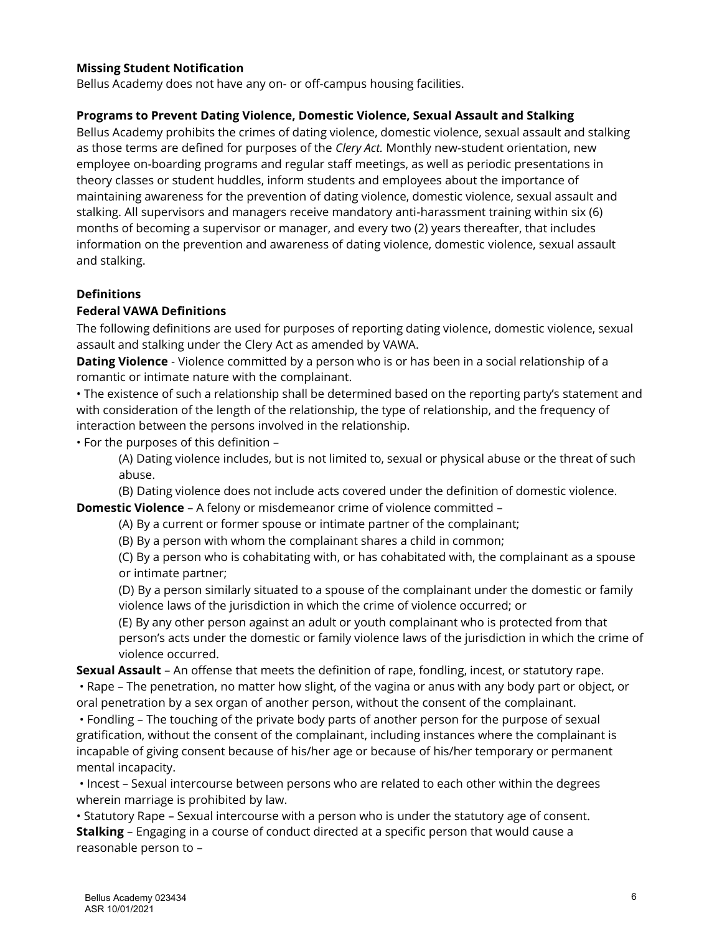# **Missing Student Notification**

Bellus Academy does not have any on- or off-campus housing facilities.

### **Programs to Prevent Dating Violence, Domestic Violence, Sexual Assault and Stalking**

Bellus Academy prohibits the crimes of dating violence, domestic violence, sexual assault and stalking as those terms are defined for purposes of the *Clery Act.* Monthly new-student orientation, new employee on-boarding programs and regular staff meetings, as well as periodic presentations in theory classes or student huddles, inform students and employees about the importance of maintaining awareness for the prevention of dating violence, domestic violence, sexual assault and stalking. All supervisors and managers receive mandatory anti-harassment training within six (6) months of becoming a supervisor or manager, and every two (2) years thereafter, that includes information on the prevention and awareness of dating violence, domestic violence, sexual assault and stalking.

### **Definitions**

### **Federal VAWA Definitions**

The following definitions are used for purposes of reporting dating violence, domestic violence, sexual assault and stalking under the Clery Act as amended by VAWA.

**Dating Violence** - Violence committed by a person who is or has been in a social relationship of a romantic or intimate nature with the complainant.

• The existence of such a relationship shall be determined based on the reporting party's statement and with consideration of the length of the relationship, the type of relationship, and the frequency of interaction between the persons involved in the relationship.

• For the purposes of this definition –

(A) Dating violence includes, but is not limited to, sexual or physical abuse or the threat of such abuse.

(B) Dating violence does not include acts covered under the definition of domestic violence.

**Domestic Violence** – A felony or misdemeanor crime of violence committed –

(A) By a current or former spouse or intimate partner of the complainant;

(B) By a person with whom the complainant shares a child in common;

(C) By a person who is cohabitating with, or has cohabitated with, the complainant as a spouse or intimate partner;

(D) By a person similarly situated to a spouse of the complainant under the domestic or family violence laws of the jurisdiction in which the crime of violence occurred; or

(E) By any other person against an adult or youth complainant who is protected from that person's acts under the domestic or family violence laws of the jurisdiction in which the crime of violence occurred.

**Sexual Assault** – An offense that meets the definition of rape, fondling, incest, or statutory rape.

• Rape – The penetration, no matter how slight, of the vagina or anus with any body part or object, or oral penetration by a sex organ of another person, without the consent of the complainant.

• Fondling – The touching of the private body parts of another person for the purpose of sexual gratification, without the consent of the complainant, including instances where the complainant is incapable of giving consent because of his/her age or because of his/her temporary or permanent mental incapacity.

• Incest – Sexual intercourse between persons who are related to each other within the degrees wherein marriage is prohibited by law.

• Statutory Rape – Sexual intercourse with a person who is under the statutory age of consent. **Stalking** – Engaging in a course of conduct directed at a specific person that would cause a reasonable person to –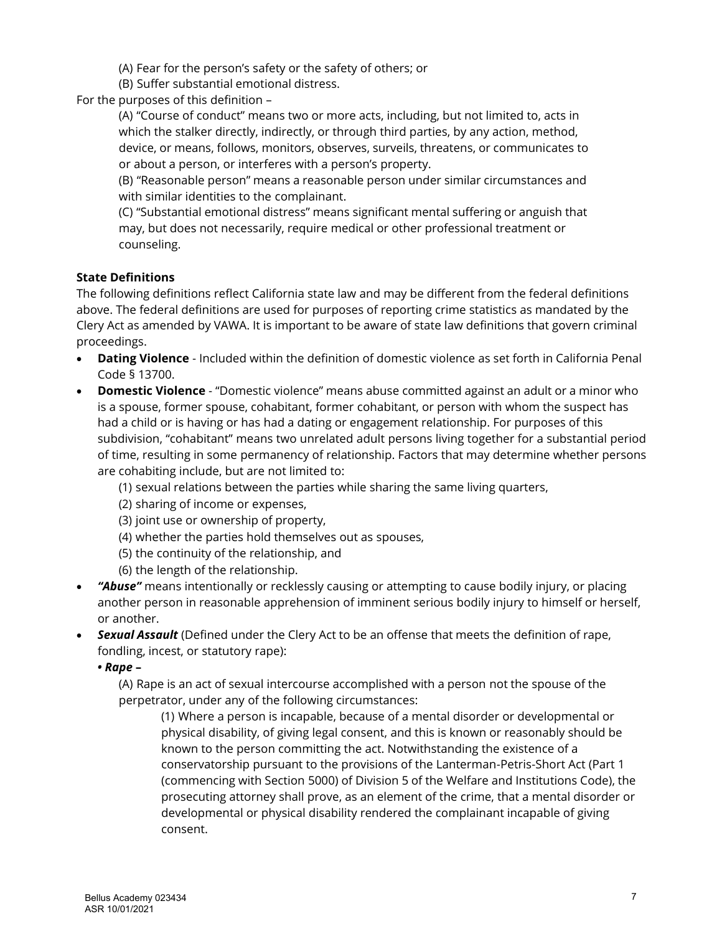(A) Fear for the person's safety or the safety of others; or

(B) Suffer substantial emotional distress.

For the purposes of this definition –

(A) "Course of conduct" means two or more acts, including, but not limited to, acts in which the stalker directly, indirectly, or through third parties, by any action, method, device, or means, follows, monitors, observes, surveils, threatens, or communicates to or about a person, or interferes with a person's property.

(B) "Reasonable person" means a reasonable person under similar circumstances and with similar identities to the complainant.

(C) "Substantial emotional distress" means significant mental suffering or anguish that may, but does not necessarily, require medical or other professional treatment or counseling.

# **State Definitions**

The following definitions reflect California state law and may be different from the federal definitions above. The federal definitions are used for purposes of reporting crime statistics as mandated by the Clery Act as amended by VAWA. It is important to be aware of state law definitions that govern criminal proceedings.

- **Dating Violence** Included within the definition of domestic violence as set forth in California Penal Code § 13700.
- **Domestic Violence** "Domestic violence" means abuse committed against an adult or a minor who is a spouse, former spouse, cohabitant, former cohabitant, or person with whom the suspect has had a child or is having or has had a dating or engagement relationship. For purposes of this subdivision, "cohabitant" means two unrelated adult persons living together for a substantial period of time, resulting in some permanency of relationship. Factors that may determine whether persons are cohabiting include, but are not limited to:
	- (1) sexual relations between the parties while sharing the same living quarters,
	- (2) sharing of income or expenses,
	- (3) joint use or ownership of property,
	- (4) whether the parties hold themselves out as spouses,
	- (5) the continuity of the relationship, and
	- (6) the length of the relationship.
- *"Abuse"* means intentionally or recklessly causing or attempting to cause bodily injury, or placing another person in reasonable apprehension of imminent serious bodily injury to himself or herself, or another.
- *Sexual Assault* (Defined under the Clery Act to be an offense that meets the definition of rape, fondling, incest, or statutory rape):

*• Rape* **–**

(A) Rape is an act of sexual intercourse accomplished with a person not the spouse of the perpetrator, under any of the following circumstances:

(1) Where a person is incapable, because of a mental disorder or developmental or physical disability, of giving legal consent, and this is known or reasonably should be known to the person committing the act. Notwithstanding the existence of a conservatorship pursuant to the provisions of the Lanterman-Petris-Short Act (Part 1 (commencing with Section 5000) of Division 5 of the Welfare and Institutions Code), the prosecuting attorney shall prove, as an element of the crime, that a mental disorder or developmental or physical disability rendered the complainant incapable of giving consent.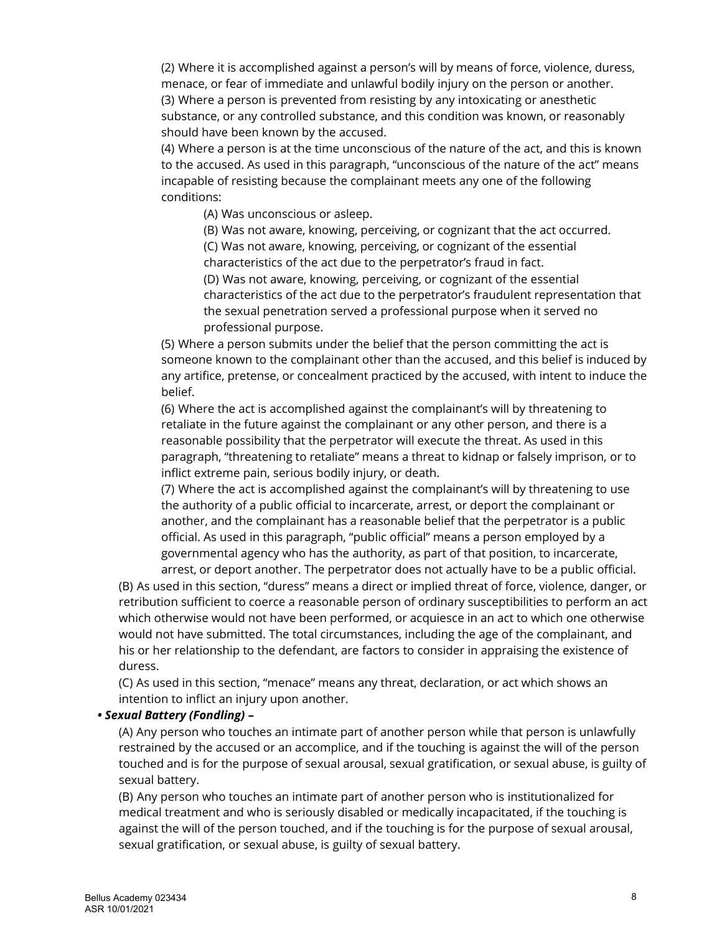(2) Where it is accomplished against a person's will by means of force, violence, duress, menace, or fear of immediate and unlawful bodily injury on the person or another. (3) Where a person is prevented from resisting by any intoxicating or anesthetic substance, or any controlled substance, and this condition was known, or reasonably should have been known by the accused.

(4) Where a person is at the time unconscious of the nature of the act, and this is known to the accused. As used in this paragraph, "unconscious of the nature of the act" means incapable of resisting because the complainant meets any one of the following conditions:

(A) Was unconscious or asleep.

(B) Was not aware, knowing, perceiving, or cognizant that the act occurred. (C) Was not aware, knowing, perceiving, or cognizant of the essential characteristics of the act due to the perpetrator's fraud in fact. (D) Was not aware, knowing, perceiving, or cognizant of the essential characteristics of the act due to the perpetrator's fraudulent representation that the sexual penetration served a professional purpose when it served no professional purpose.

(5) Where a person submits under the belief that the person committing the act is someone known to the complainant other than the accused, and this belief is induced by any artifice, pretense, or concealment practiced by the accused, with intent to induce the belief.

(6) Where the act is accomplished against the complainant's will by threatening to retaliate in the future against the complainant or any other person, and there is a reasonable possibility that the perpetrator will execute the threat. As used in this paragraph, "threatening to retaliate" means a threat to kidnap or falsely imprison, or to inflict extreme pain, serious bodily injury, or death.

(7) Where the act is accomplished against the complainant's will by threatening to use the authority of a public official to incarcerate, arrest, or deport the complainant or another, and the complainant has a reasonable belief that the perpetrator is a public official. As used in this paragraph, "public official" means a person employed by a governmental agency who has the authority, as part of that position, to incarcerate, arrest, or deport another. The perpetrator does not actually have to be a public official.

(B) As used in this section, "duress" means a direct or implied threat of force, violence, danger, or retribution sufficient to coerce a reasonable person of ordinary susceptibilities to perform an act which otherwise would not have been performed, or acquiesce in an act to which one otherwise would not have submitted. The total circumstances, including the age of the complainant, and his or her relationship to the defendant, are factors to consider in appraising the existence of duress.

(C) As used in this section, "menace" means any threat, declaration, or act which shows an intention to inflict an injury upon another.

### *• Sexual Battery (Fondling) –*

(A) Any person who touches an intimate part of another person while that person is unlawfully restrained by the accused or an accomplice, and if the touching is against the will of the person touched and is for the purpose of sexual arousal, sexual gratification, or sexual abuse, is guilty of sexual battery.

(B) Any person who touches an intimate part of another person who is institutionalized for medical treatment and who is seriously disabled or medically incapacitated, if the touching is against the will of the person touched, and if the touching is for the purpose of sexual arousal, sexual gratification, or sexual abuse, is guilty of sexual battery.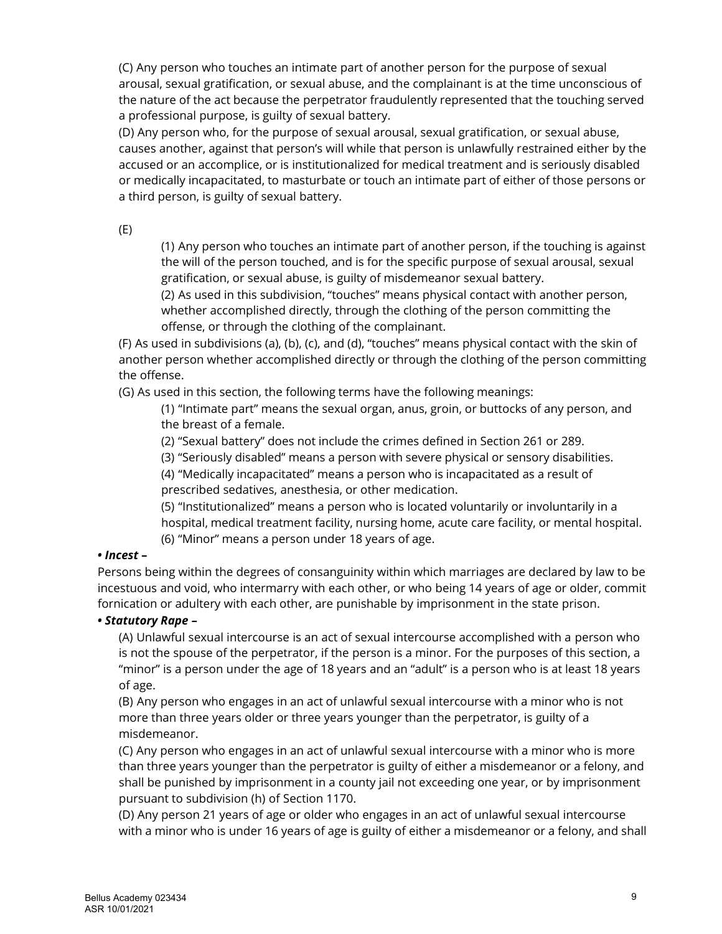(C) Any person who touches an intimate part of another person for the purpose of sexual arousal, sexual gratification, or sexual abuse, and the complainant is at the time unconscious of the nature of the act because the perpetrator fraudulently represented that the touching served a professional purpose, is guilty of sexual battery.

(D) Any person who, for the purpose of sexual arousal, sexual gratification, or sexual abuse, causes another, against that person's will while that person is unlawfully restrained either by the accused or an accomplice, or is institutionalized for medical treatment and is seriously disabled or medically incapacitated, to masturbate or touch an intimate part of either of those persons or a third person, is guilty of sexual battery.

(E)

(1) Any person who touches an intimate part of another person, if the touching is against the will of the person touched, and is for the specific purpose of sexual arousal, sexual gratification, or sexual abuse, is guilty of misdemeanor sexual battery.

(2) As used in this subdivision, "touches" means physical contact with another person, whether accomplished directly, through the clothing of the person committing the offense, or through the clothing of the complainant.

(F) As used in subdivisions (a), (b), (c), and (d), "touches" means physical contact with the skin of another person whether accomplished directly or through the clothing of the person committing the offense.

(G) As used in this section, the following terms have the following meanings:

(1) "Intimate part" means the sexual organ, anus, groin, or buttocks of any person, and the breast of a female.

(2) "Sexual battery" does not include the crimes defined in Section 261 or 289.

(3) "Seriously disabled" means a person with severe physical or sensory disabilities.

(4) "Medically incapacitated" means a person who is incapacitated as a result of prescribed sedatives, anesthesia, or other medication.

(5) "Institutionalized" means a person who is located voluntarily or involuntarily in a hospital, medical treatment facility, nursing home, acute care facility, or mental hospital. (6) "Minor" means a person under 18 years of age.

# *• Incest –*

Persons being within the degrees of consanguinity within which marriages are declared by law to be incestuous and void, who intermarry with each other, or who being 14 years of age or older, commit fornication or adultery with each other, are punishable by imprisonment in the state prison.

# *• Statutory Rape –*

(A) Unlawful sexual intercourse is an act of sexual intercourse accomplished with a person who is not the spouse of the perpetrator, if the person is a minor. For the purposes of this section, a "minor" is a person under the age of 18 years and an "adult" is a person who is at least 18 years of age.

(B) Any person who engages in an act of unlawful sexual intercourse with a minor who is not more than three years older or three years younger than the perpetrator, is guilty of a misdemeanor.

(C) Any person who engages in an act of unlawful sexual intercourse with a minor who is more than three years younger than the perpetrator is guilty of either a misdemeanor or a felony, and shall be punished by imprisonment in a county jail not exceeding one year, or by imprisonment pursuant to subdivision (h) of Section 1170.

(D) Any person 21 years of age or older who engages in an act of unlawful sexual intercourse with a minor who is under 16 years of age is guilty of either a misdemeanor or a felony, and shall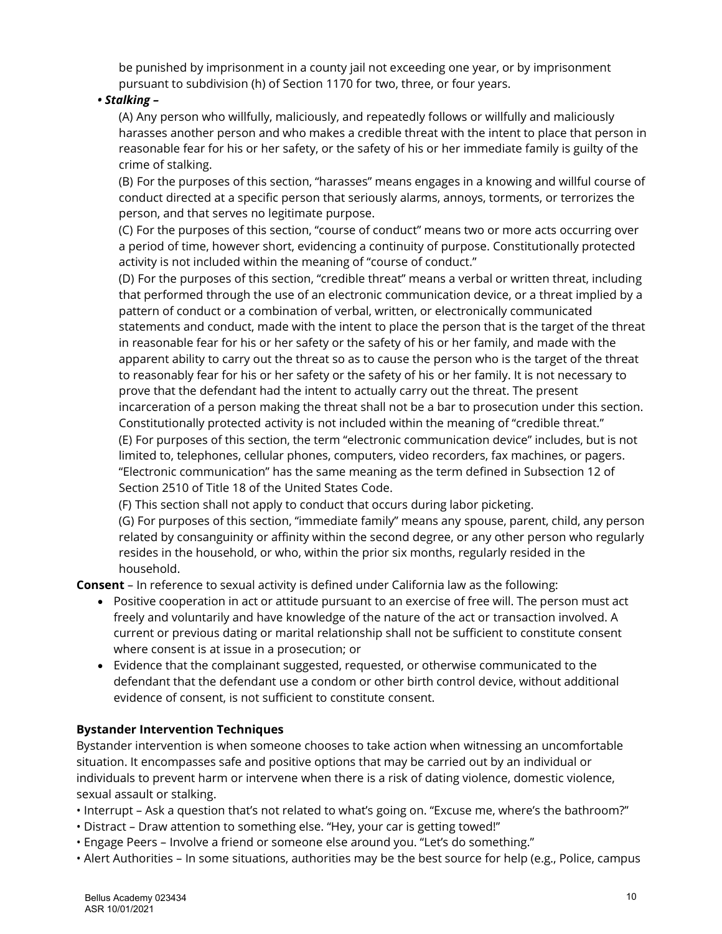be punished by imprisonment in a county jail not exceeding one year, or by imprisonment pursuant to subdivision (h) of Section 1170 for two, three, or four years.

# *• Stalking –*

(A) Any person who willfully, maliciously, and repeatedly follows or willfully and maliciously harasses another person and who makes a credible threat with the intent to place that person in reasonable fear for his or her safety, or the safety of his or her immediate family is guilty of the crime of stalking.

(B) For the purposes of this section, "harasses" means engages in a knowing and willful course of conduct directed at a specific person that seriously alarms, annoys, torments, or terrorizes the person, and that serves no legitimate purpose.

(C) For the purposes of this section, "course of conduct" means two or more acts occurring over a period of time, however short, evidencing a continuity of purpose. Constitutionally protected activity is not included within the meaning of "course of conduct."

(D) For the purposes of this section, "credible threat" means a verbal or written threat, including that performed through the use of an electronic communication device, or a threat implied by a pattern of conduct or a combination of verbal, written, or electronically communicated statements and conduct, made with the intent to place the person that is the target of the threat in reasonable fear for his or her safety or the safety of his or her family, and made with the apparent ability to carry out the threat so as to cause the person who is the target of the threat to reasonably fear for his or her safety or the safety of his or her family. It is not necessary to prove that the defendant had the intent to actually carry out the threat. The present incarceration of a person making the threat shall not be a bar to prosecution under this section. Constitutionally protected activity is not included within the meaning of "credible threat." (E) For purposes of this section, the term "electronic communication device" includes, but is not limited to, telephones, cellular phones, computers, video recorders, fax machines, or pagers. "Electronic communication" has the same meaning as the term defined in Subsection 12 of Section 2510 of Title 18 of the United States Code.

(F) This section shall not apply to conduct that occurs during labor picketing.

(G) For purposes of this section, "immediate family" means any spouse, parent, child, any person related by consanguinity or affinity within the second degree, or any other person who regularly resides in the household, or who, within the prior six months, regularly resided in the household.

**Consent** – In reference to sexual activity is defined under California law as the following:

- Positive cooperation in act or attitude pursuant to an exercise of free will. The person must act freely and voluntarily and have knowledge of the nature of the act or transaction involved. A current or previous dating or marital relationship shall not be sufficient to constitute consent where consent is at issue in a prosecution; or
- Evidence that the complainant suggested, requested, or otherwise communicated to the defendant that the defendant use a condom or other birth control device, without additional evidence of consent, is not sufficient to constitute consent.

# **Bystander Intervention Techniques**

Bystander intervention is when someone chooses to take action when witnessing an uncomfortable situation. It encompasses safe and positive options that may be carried out by an individual or individuals to prevent harm or intervene when there is a risk of dating violence, domestic violence, sexual assault or stalking.

- Interrupt Ask a question that's not related to what's going on. "Excuse me, where's the bathroom?"
- Distract Draw attention to something else. "Hey, your car is getting towed!"
- Engage Peers Involve a friend or someone else around you. "Let's do something."
- Alert Authorities In some situations, authorities may be the best source for help (e.g., Police, campus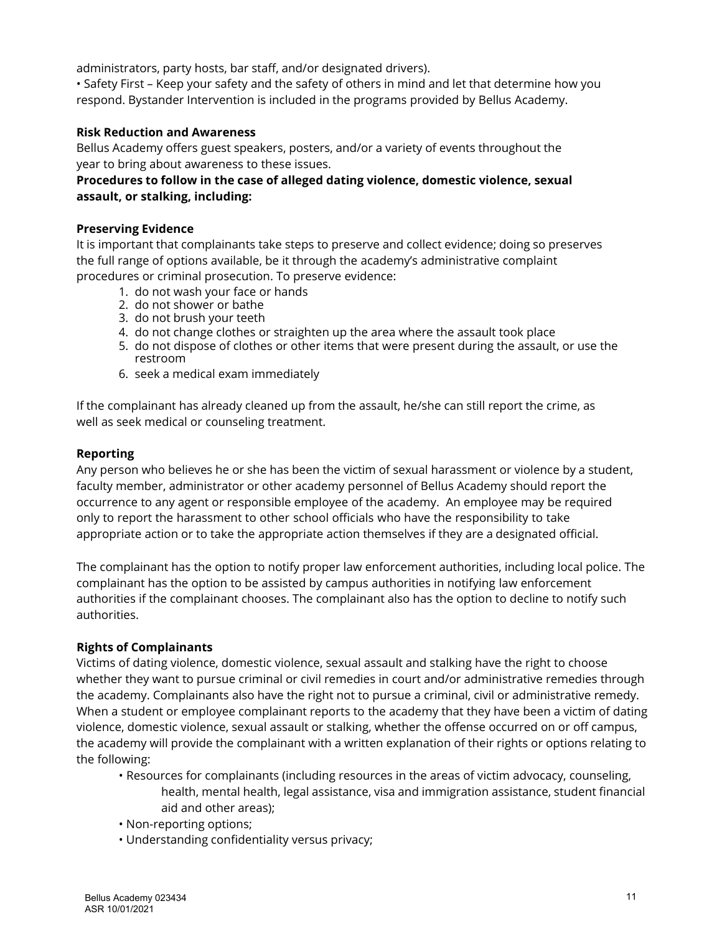administrators, party hosts, bar staff, and/or designated drivers).

• Safety First – Keep your safety and the safety of others in mind and let that determine how you respond. Bystander Intervention is included in the programs provided by Bellus Academy.

# **Risk Reduction and Awareness**

Bellus Academy offers guest speakers, posters, and/or a variety of events throughout the year to bring about awareness to these issues.

# **Procedures to follow in the case of alleged dating violence, domestic violence, sexual assault, or stalking, including:**

#### **Preserving Evidence**

It is important that complainants take steps to preserve and collect evidence; doing so preserves the full range of options available, be it through the academy's administrative complaint procedures or criminal prosecution. To preserve evidence:

- 1. do not wash your face or hands
- 2. do not shower or bathe
- 3. do not brush your teeth
- 4. do not change clothes or straighten up the area where the assault took place
- 5. do not dispose of clothes or other items that were present during the assault, or use the restroom
- 6. seek a medical exam immediately

If the complainant has already cleaned up from the assault, he/she can still report the crime, as well as seek medical or counseling treatment.

### **Reporting**

Any person who believes he or she has been the victim of sexual harassment or violence by a student, faculty member, administrator or other academy personnel of Bellus Academy should report the occurrence to any agent or responsible employee of the academy. An employee may be required only to report the harassment to other school officials who have the responsibility to take appropriate action or to take the appropriate action themselves if they are a designated official.

The complainant has the option to notify proper law enforcement authorities, including local police. The complainant has the option to be assisted by campus authorities in notifying law enforcement authorities if the complainant chooses. The complainant also has the option to decline to notify such authorities.

### **Rights of Complainants**

Victims of dating violence, domestic violence, sexual assault and stalking have the right to choose whether they want to pursue criminal or civil remedies in court and/or administrative remedies through the academy. Complainants also have the right not to pursue a criminal, civil or administrative remedy. When a student or employee complainant reports to the academy that they have been a victim of dating violence, domestic violence, sexual assault or stalking, whether the offense occurred on or off campus, the academy will provide the complainant with a written explanation of their rights or options relating to the following:

- Resources for complainants (including resources in the areas of victim advocacy, counseling, health, mental health, legal assistance, visa and immigration assistance, student financial aid and other areas);
- Non-reporting options;
- Understanding confidentiality versus privacy;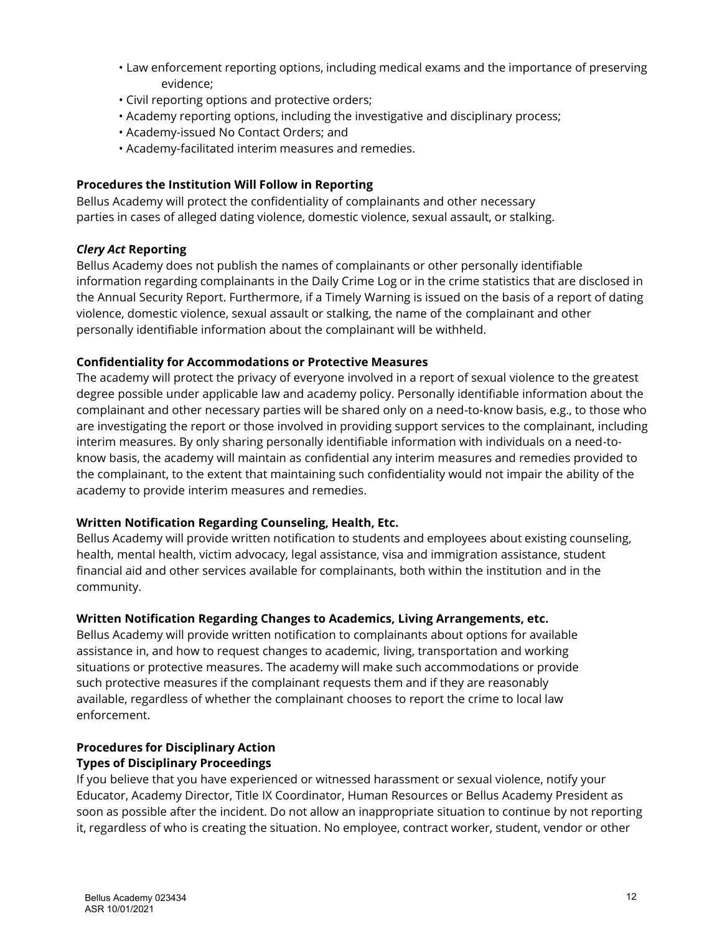- Law enforcement reporting options, including medical exams and the importance of preserving evidence;
- Civil reporting options and protective orders;
- Academy reporting options, including the investigative and disciplinary process;
- Academy-issued No Contact Orders; and
- Academy-facilitated interim measures and remedies.

### **Procedures the Institution Will Follow in Reporting**

Bellus Academy will protect the confidentiality of complainants and other necessary parties in cases of alleged dating violence, domestic violence, sexual assault, or stalking.

### *Clery Act* **Reporting**

Bellus Academy does not publish the names of complainants or other personally identifiable information regarding complainants in the Daily Crime Log or in the crime statistics that are disclosed in the Annual Security Report. Furthermore, if a Timely Warning is issued on the basis of a report of dating violence, domestic violence, sexual assault or stalking, the name of the complainant and other personally identifiable information about the complainant will be withheld.

### **Confidentiality for Accommodations or Protective Measures**

The academy will protect the privacy of everyone involved in a report of sexual violence to the greatest degree possible under applicable law and academy policy. Personally identifiable information about the complainant and other necessary parties will be shared only on a need-to-know basis, e.g., to those who are investigating the report or those involved in providing support services to the complainant, including interim measures. By only sharing personally identifiable information with individuals on a need-toknow basis, the academy will maintain as confidential any interim measures and remedies provided to the complainant, to the extent that maintaining such confidentiality would not impair the ability of the academy to provide interim measures and remedies.

# **Written Notification Regarding Counseling, Health, Etc.**

Bellus Academy will provide written notification to students and employees about existing counseling, health, mental health, victim advocacy, legal assistance, visa and immigration assistance, student financial aid and other services available for complainants, both within the institution and in the community.

### **Written Notification Regarding Changes to Academics, Living Arrangements, etc.**

Bellus Academy will provide written notification to complainants about options for available assistance in, and how to request changes to academic, living, transportation and working situations or protective measures. The academy will make such accommodations or provide such protective measures if the complainant requests them and if they are reasonably available, regardless of whether the complainant chooses to report the crime to local law enforcement.

# **Procedures for Disciplinary Action Types of Disciplinary Proceedings**

If you believe that you have experienced or witnessed harassment or sexual violence, notify your Educator, Academy Director, Title IX Coordinator, Human Resources or Bellus Academy President as soon as possible after the incident. Do not allow an inappropriate situation to continue by not reporting it, regardless of who is creating the situation. No employee, contract worker, student, vendor or other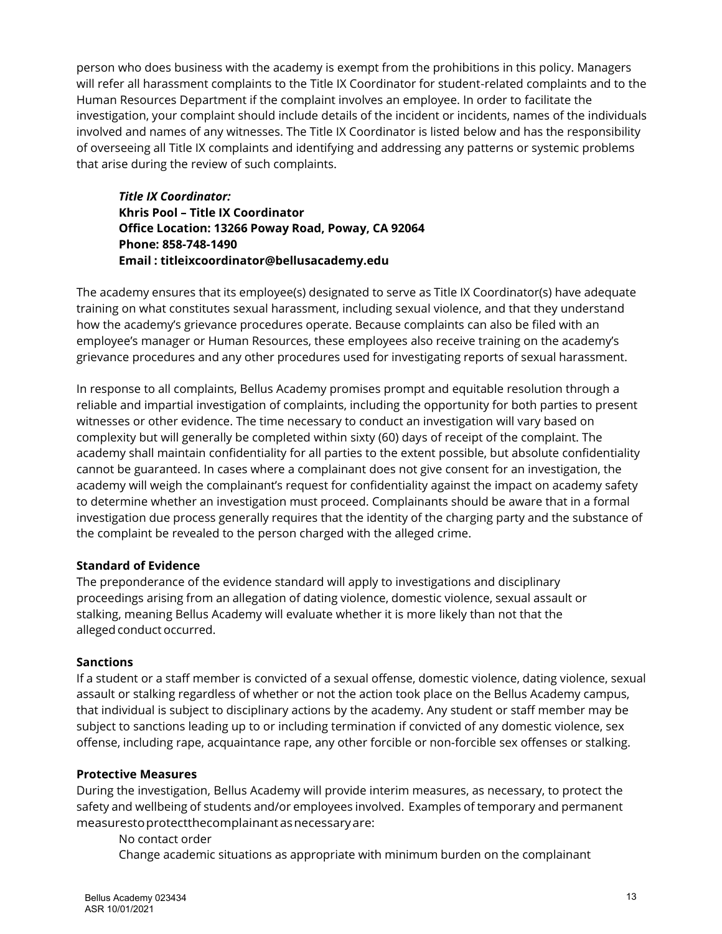person who does business with the academy is exempt from the prohibitions in this policy. Managers will refer all harassment complaints to the Title IX Coordinator for student-related complaints and to the Human Resources Department if the complaint involves an employee. In order to facilitate the investigation, your complaint should include details of the incident or incidents, names of the individuals involved and names of any witnesses. The Title IX Coordinator is listed below and has the responsibility of overseeing all Title IX complaints and identifying and addressing any patterns or systemic problems that arise during the review of such complaints.

*Title IX Coordinator:* **Khris Pool – Title IX Coordinator Office Location: 13266 Poway Road, Poway, CA 92064 Phone: 858-748-1490 Email : [titleixcoordinator@bellusacademy.edu](mailto:titleixcoordinator@bellusacademy.edu)**

The academy ensures that its employee(s) designated to serve as Title IX Coordinator(s) have adequate training on what constitutes sexual harassment, including sexual violence, and that they understand how the academy's grievance procedures operate. Because complaints can also be filed with an employee's manager or Human Resources, these employees also receive training on the academy's grievance procedures and any other procedures used for investigating reports of sexual harassment.

In response to all complaints, Bellus Academy promises prompt and equitable resolution through a reliable and impartial investigation of complaints, including the opportunity for both parties to present witnesses or other evidence. The time necessary to conduct an investigation will vary based on complexity but will generally be completed within sixty (60) days of receipt of the complaint. The academy shall maintain confidentiality for all parties to the extent possible, but absolute confidentiality cannot be guaranteed. In cases where a complainant does not give consent for an investigation, the academy will weigh the complainant's request for confidentiality against the impact on academy safety to determine whether an investigation must proceed. Complainants should be aware that in a formal investigation due process generally requires that the identity of the charging party and the substance of the complaint be revealed to the person charged with the alleged crime.

# **Standard of Evidence**

The preponderance of the evidence standard will apply to investigations and disciplinary proceedings arising from an allegation of dating violence, domestic violence, sexual assault or stalking, meaning Bellus Academy will evaluate whether it is more likely than not that the alleged conduct occurred.

### **Sanctions**

If a student or a staff member is convicted of a sexual offense, domestic violence, dating violence, sexual assault or stalking regardless of whether or not the action took place on the Bellus Academy campus, that individual is subject to disciplinary actions by the academy. Any student or staff member may be subject to sanctions leading up to or including termination if convicted of any domestic violence, sex offense, including rape, acquaintance rape, any other forcible or non-forcible sex offenses or stalking.

### **Protective Measures**

During the investigation, Bellus Academy will provide interim measures, as necessary, to protect the safety and wellbeing of students and/or employees involved. Examples of temporary and permanent measurestoprotectthecomplainantasnecessaryare:

### No contact order

Change academic situations as appropriate with minimum burden on the complainant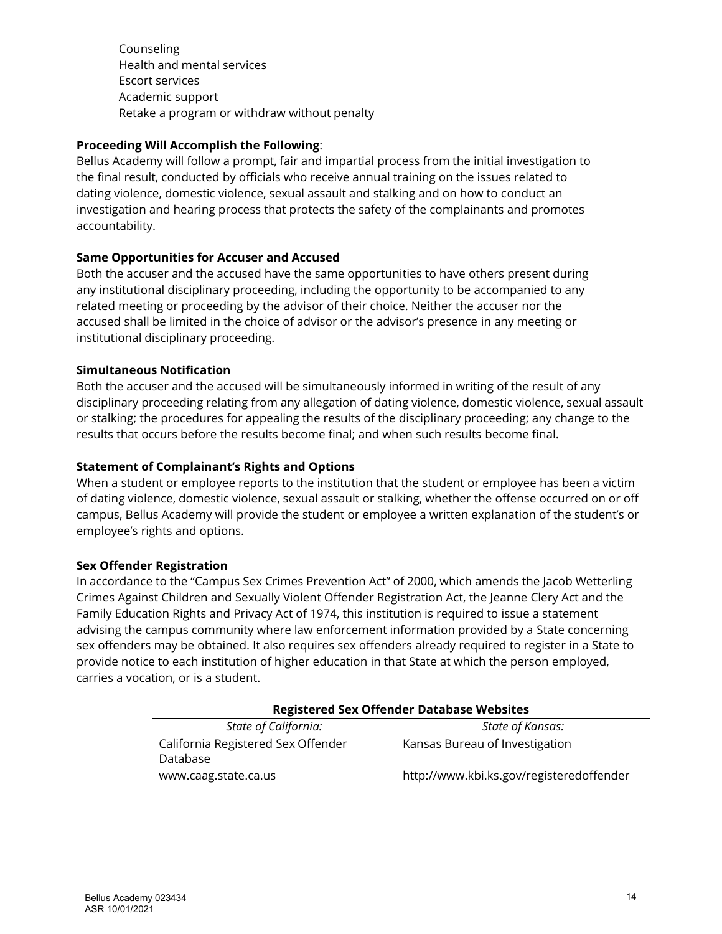Counseling Health and mental services Escort services Academic support Retake a program or withdraw without penalty

# **Proceeding Will Accomplish the Following**:

Bellus Academy will follow a prompt, fair and impartial process from the initial investigation to the final result, conducted by officials who receive annual training on the issues related to dating violence, domestic violence, sexual assault and stalking and on how to conduct an investigation and hearing process that protects the safety of the complainants and promotes accountability.

# **Same Opportunities for Accuser and Accused**

Both the accuser and the accused have the same opportunities to have others present during any institutional disciplinary proceeding, including the opportunity to be accompanied to any related meeting or proceeding by the advisor of their choice. Neither the accuser nor the accused shall be limited in the choice of advisor or the advisor's presence in any meeting or institutional disciplinary proceeding.

# **Simultaneous Notification**

Both the accuser and the accused will be simultaneously informed in writing of the result of any disciplinary proceeding relating from any allegation of dating violence, domestic violence, sexual assault or stalking; the procedures for appealing the results of the disciplinary proceeding; any change to the results that occurs before the results become final; and when such results become final.

# **Statement of Complainant's Rights and Options**

When a student or employee reports to the institution that the student or employee has been a victim of dating violence, domestic violence, sexual assault or stalking, whether the offense occurred on or off campus, Bellus Academy will provide the student or employee a written explanation of the student's or employee's rights and options.

# **Sex Offender Registration**

In accordance to the "Campus Sex Crimes Prevention Act" of 2000, which amends the Jacob Wetterling Crimes Against Children and Sexually Violent Offender Registration Act, the Jeanne Clery Act and the Family Education Rights and Privacy Act of 1974, this institution is required to issue a statement advising the campus community where law enforcement information provided by a State concerning sex offenders may be obtained. It also requires sex offenders already required to register in a State to provide notice to each institution of higher education in that State at which the person employed, carries a vocation, or is a student.

| <b>Registered Sex Offender Database Websites</b> |                                          |  |  |  |  |  |  |  |
|--------------------------------------------------|------------------------------------------|--|--|--|--|--|--|--|
| State of California:                             | State of Kansas:                         |  |  |  |  |  |  |  |
| California Registered Sex Offender<br>Database   | Kansas Bureau of Investigation           |  |  |  |  |  |  |  |
| www.caag.state.ca.us                             | http://www.kbi.ks.gov/registeredoffender |  |  |  |  |  |  |  |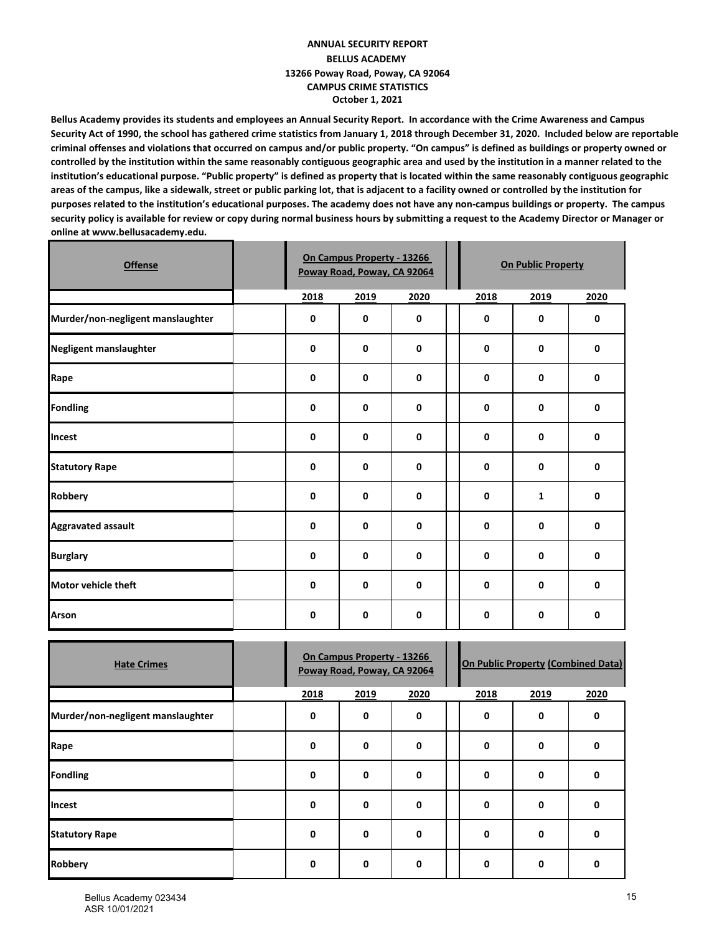#### **ANNUAL SECURITY REPORT BELLUS ACADEMY CAMPUS CRIME STATISTICS October 1, 2021 13266 Poway Road, Poway, CA 92064**

Bellus Academy provides its students and employees an Annual Security Report. In accordance with the Crime Awareness and Campus Security Act of 1990, the school has gathered crime statistics from January 1, 2018 through December 31, 2020. Included below are reportable criminal offenses and violations that occurred on campus and/or public property. "On campus" is defined as buildings or property owned or controlled by the institution within the same reasonably contiguous geographic area and used by the institution in a manner related to the institution's educational purpose. "Public property" is defined as property that is located within the same reasonably contiguous geographic areas of the campus, like a sidewalk, street or public parking lot, that is adjacent to a facility owned or controlled by the institution for purposes related to the institution's educational purposes. The academy does not have any non-campus buildings or property. The campus security policy is available for review or copy during normal business hours by submitting a request to the Academy Director or Manager or **online at www.bellusacademy.edu.**

| <b>Offense</b>                    | On Campus Property - 13266<br>Poway Road, Poway, CA 92064 |      |             |  | <b>On Public Property</b> |      |      |  |  |
|-----------------------------------|-----------------------------------------------------------|------|-------------|--|---------------------------|------|------|--|--|
|                                   | 2018                                                      | 2019 | 2020        |  | 2018                      | 2019 | 2020 |  |  |
| Murder/non-negligent manslaughter | 0                                                         | 0    | 0           |  | $\mathbf{0}$              | 0    | 0    |  |  |
| Negligent manslaughter            | $\mathbf 0$                                               | 0    | $\mathbf 0$ |  | $\mathbf{0}$              | 0    | 0    |  |  |
| Rape                              | $\mathbf 0$                                               | 0    | 0           |  | $\mathbf{0}$              | 0    | 0    |  |  |
| <b>Fondling</b>                   | $\pmb{0}$                                                 | 0    | $\mathbf 0$ |  | $\mathbf 0$               | 0    | 0    |  |  |
| Incest                            | 0                                                         | 0    | 0           |  | $\mathbf 0$               | 0    | 0    |  |  |
| <b>Statutory Rape</b>             | 0                                                         | 0    | 0           |  | $\mathbf 0$               | 0    | 0    |  |  |
| <b>Robbery</b>                    | 0                                                         | 0    | 0           |  | $\mathbf{0}$              | 1    | 0    |  |  |
| <b>Aggravated assault</b>         | 0                                                         | 0    | 0           |  | $\mathbf{0}$              | 0    | 0    |  |  |
| <b>Burglary</b>                   | 0                                                         | 0    | 0           |  | $\mathbf{0}$              | 0    | 0    |  |  |
| Motor vehicle theft               | $\mathbf 0$                                               | 0    | 0           |  | $\mathbf{0}$              | 0    | 0    |  |  |
| <b>Arson</b>                      | 0                                                         | 0    | 0           |  | 0                         | 0    | 0    |  |  |

| <b>Hate Crimes</b>                |      | On Campus Property - 13266<br>Poway Road, Poway, CA 92064 |      | <b>On Public Property (Combined Data)</b> |      |          |  |
|-----------------------------------|------|-----------------------------------------------------------|------|-------------------------------------------|------|----------|--|
|                                   | 2018 | 2019                                                      | 2020 | 2018                                      | 2019 | 2020     |  |
| Murder/non-negligent manslaughter | 0    | 0                                                         | 0    | 0                                         | 0    | U        |  |
| Rape                              | 0    | 0                                                         | 0    | $\Omega$                                  | 0    | 0        |  |
| <b>Fondling</b>                   | 0    | 0                                                         | 0    | 0                                         | 0    | $\Omega$ |  |
| Incest                            | 0    | 0                                                         | 0    | 0                                         | 0    | 0        |  |
| <b>Statutory Rape</b>             | 0    | 0                                                         | 0    | $\Omega$                                  | 0    | U        |  |
| <b>Robbery</b>                    | 0    | ŋ                                                         | 0    | O                                         | 0    | n        |  |